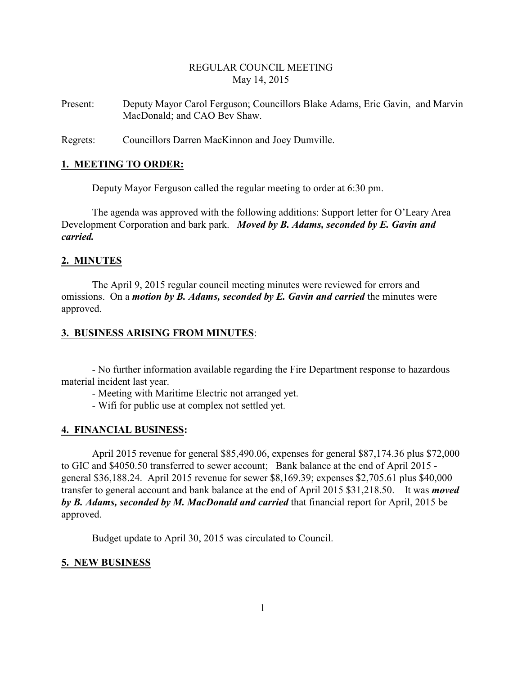# REGULAR COUNCIL MEETING May 14, 2015

Present: Deputy Mayor Carol Ferguson; Councillors Blake Adams, Eric Gavin, and Marvin MacDonald; and CAO Bev Shaw.

Regrets: Councillors Darren MacKinnon and Joey Dumville.

#### **1. MEETING TO ORDER:**

Deputy Mayor Ferguson called the regular meeting to order at 6:30 pm.

The agenda was approved with the following additions: Support letter for O'Leary Area Development Corporation and bark park. *Moved by B. Adams, seconded by E. Gavin and carried.*

#### **2. MINUTES**

The April 9, 2015 regular council meeting minutes were reviewed for errors and omissions. On a *motion by B. Adams, seconded by E. Gavin and carried* the minutes were approved.

#### **3. BUSINESS ARISING FROM MINUTES**:

- No further information available regarding the Fire Department response to hazardous material incident last year.

- Meeting with Maritime Electric not arranged yet.

- Wifi for public use at complex not settled yet.

## **4. FINANCIAL BUSINESS:**

April 2015 revenue for general \$85,490.06, expenses for general \$87,174.36 plus \$72,000 to GIC and \$4050.50 transferred to sewer account; Bank balance at the end of April 2015 general \$36,188.24. April 2015 revenue for sewer \$8,169.39; expenses \$2,705.61 plus \$40,000 transfer to general account and bank balance at the end of April 2015 \$31,218.50. It was *moved by B. Adams, seconded by M. MacDonald and carried* that financial report for April, 2015 be approved.

Budget update to April 30, 2015 was circulated to Council.

## **5. NEW BUSINESS**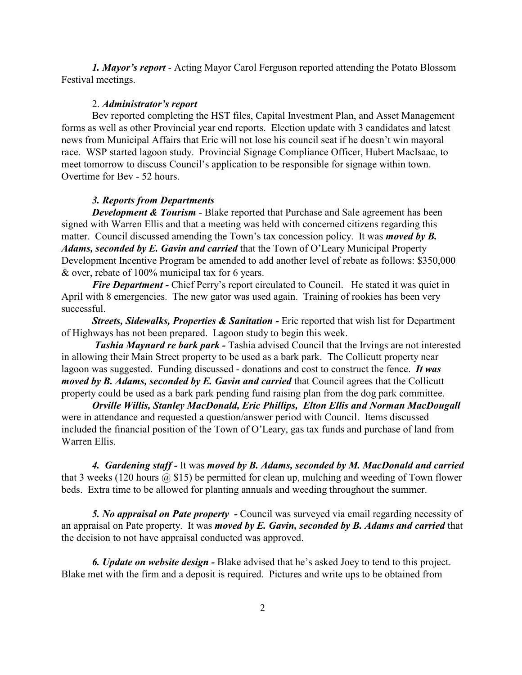*1. Mayor's report* - Acting Mayor Carol Ferguson reported attending the Potato Blossom Festival meetings.

#### 2. *Administrator's report*

Bev reported completing the HST files, Capital Investment Plan, and Asset Management forms as well as other Provincial year end reports. Election update with 3 candidates and latest news from Municipal Affairs that Eric will not lose his council seat if he doesn't win mayoral race. WSP started lagoon study. Provincial Signage Compliance Officer, Hubert MacIsaac, to meet tomorrow to discuss Council's application to be responsible for signage within town. Overtime for Bev - 52 hours.

#### *3. Reports from Departments*

*Development & Tourism* - Blake reported that Purchase and Sale agreement has been signed with Warren Ellis and that a meeting was held with concerned citizens regarding this matter. Council discussed amending the Town's tax concession policy. It was *moved by B. Adams, seconded by E. Gavin and carried* that the Town of O'Leary Municipal Property Development Incentive Program be amended to add another level of rebate as follows: \$350,000 & over, rebate of 100% municipal tax for 6 years.

*Fire Department* - Chief Perry's report circulated to Council. He stated it was quiet in April with 8 emergencies. The new gator was used again. Training of rookies has been very successful.

*Streets, Sidewalks, Properties & Sanitation -* Eric reported that wish list for Department of Highways has not been prepared. Lagoon study to begin this week.

*Tashia Maynard re bark park -* Tashia advised Council that the Irvings are not interested in allowing their Main Street property to be used as a bark park. The Collicutt property near lagoon was suggested. Funding discussed - donations and cost to construct the fence. *It was moved by B. Adams, seconded by E. Gavin and carried* that Council agrees that the Collicutt property could be used as a bark park pending fund raising plan from the dog park committee.

*Orville Willis, Stanley MacDonald, Eric Phillips, Elton Ellis and Norman MacDougall* were in attendance and requested a question/answer period with Council. Items discussed included the financial position of the Town of O'Leary, gas tax funds and purchase of land from Warren Ellis.

*4. Gardening staff -* It was *moved by B. Adams, seconded by M. MacDonald and carried* that 3 weeks (120 hours  $(a)$  \$15) be permitted for clean up, mulching and weeding of Town flower beds. Extra time to be allowed for planting annuals and weeding throughout the summer.

*5. No appraisal on Pate property -* Council was surveyed via email regarding necessity of an appraisal on Pate property. It was *moved by E. Gavin, seconded by B. Adams and carried* that the decision to not have appraisal conducted was approved.

*6. Update on website design -* Blake advised that he's asked Joey to tend to this project. Blake met with the firm and a deposit is required. Pictures and write ups to be obtained from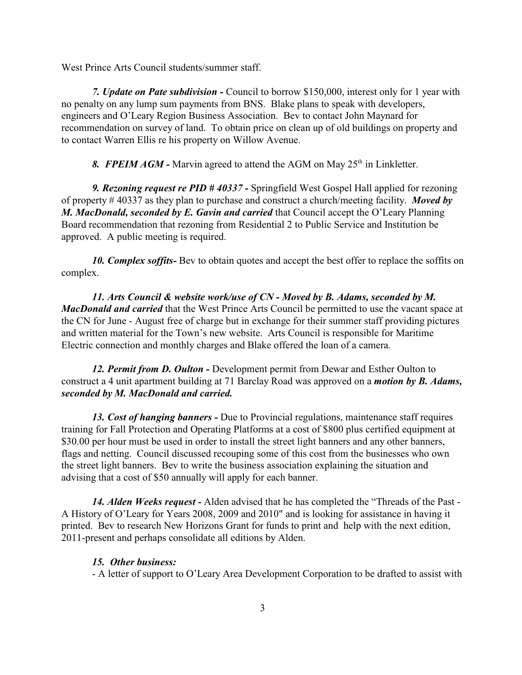West Prince Arts Council students/summer staff.

*7. Update on Pate subdivision -* Council to borrow \$150,000, interest only for 1 year with no penalty on any lump sum payments from BNS. Blake plans to speak with developers, engineers and O'Leary Region Business Association. Bev to contact John Maynard for recommendation on survey of land. To obtain price on clean up of old buildings on property and to contact Warren Ellis re his property on Willow Avenue.

8. FPEIM AGM - Marvin agreed to attend the AGM on May 25<sup>th</sup> in Linkletter.

*9. Rezoning request re PID # 40337 -* Springfield West Gospel Hall applied for rezoning of property # 40337 as they plan to purchase and construct a church/meeting facility. *Moved by M. MacDonald, seconded by E. Gavin and carried* that Council accept the O'Leary Planning Board recommendation that rezoning from Residential 2 to Public Service and Institution be approved. A public meeting is required.

*10. Complex soffits-* Bev to obtain quotes and accept the best offer to replace the soffits on complex.

*11. Arts Council & website work/use of CN - Moved by B. Adams, seconded by M. MacDonald and carried* that the West Prince Arts Council be permitted to use the vacant space at the CN for June - August free of charge but in exchange for their summer staff providing pictures and written material for the Town's new website. Arts Council is responsible for Maritime Electric connection and monthly charges and Blake offered the loan of a camera.

*12. Permit from D. Oulton -* Development permit from Dewar and Esther Oulton to construct a 4 unit apartment building at 71 Barclay Road was approved on a *motion by B. Adams, seconded by M. MacDonald and carried.*

*13. Cost of hanging banners -* Due to Provincial regulations, maintenance staff requires training for Fall Protection and Operating Platforms at a cost of \$800 plus certified equipment at \$30.00 per hour must be used in order to install the street light banners and any other banners, flags and netting. Council discussed recouping some of this cost from the businesses who own the street light banners. Bev to write the business association explaining the situation and advising that a cost of \$50 annually will apply for each banner.

*14. Alden Weeks request -* Alden advised that he has completed the "Threads of the Past - A History of O'Leary for Years 2008, 2009 and 2010" and is looking for assistance in having it printed. Bev to research New Horizons Grant for funds to print and help with the next edition, 2011-present and perhaps consolidate all editions by Alden.

#### *15. Other business:*

- A letter of support to O'Leary Area Development Corporation to be drafted to assist with